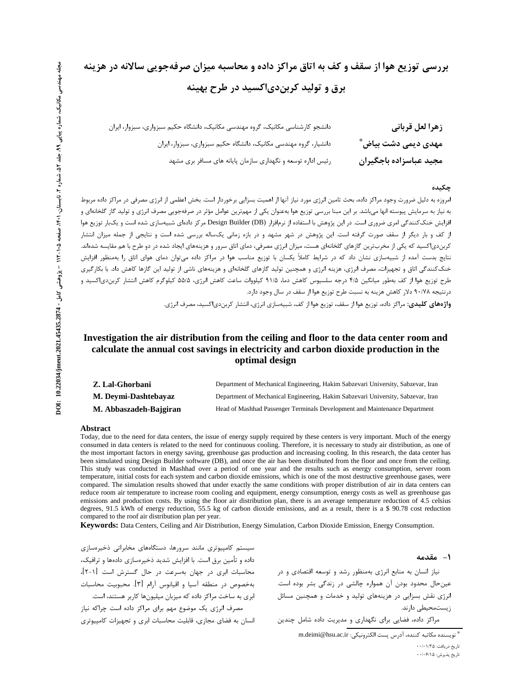# بررسی توزیع هوا از سقف و کف به اتاق مراکز داده و محاسبه میزان صرفهجویی سالانه در هزینه برق و توليد کرېن دی اکسيد در طرح بهينه

| زهرا لعل قرباني        | دانشجو کارشناسی مکانیک، گروه مهندسی مکانیک، دانشگاه حکیم سبزواری، سبزوار، ایران |
|------------------------|---------------------------------------------------------------------------------|
| مهدی دیمی دشت بیاض ؓ   | دانشیار، گروه مهندسی مکانیک، دانشگاه حکیم سبزواری، سبزوار، ایران                |
| مجيد عباسزاده باجگيران | رئیس اداره توسعه و نگهداری سازمان پایانه های مسافر بری مشهد                     |

#### چکىدە

.<br>امروزه به دلیل ضرورت وجود مراکز داده، بحث تامین انرژی مورد نیاز آنها از اهمیت بسزایی برخوردار است. بخش اعظمی از انرژی مصرفی در مراکز داده مربوط به نیاز به سرمایش پیوسته انها می!شد. بر این مبنا بررسی توزیع هوا بهعنوان یکی از مهمترین عوامل مؤثر در صرفهجویی مصرف انرژی و تولید گاز گلخانهای و افزایش خنککنندگی امری ضروری است. در این پژوهش با استفاده از نرمافزار (Design Builder (DB مرکز دادهای شبیهسازی شده است و یکبار توزیع هوا از کف و بار دیگر از سقف صورت گرفته است. این پژوهش در شهر مشهد و در بازه زمانی یکساله بررسی شده است و نتایجی از جمله میزان انتشار کربندی|کسید که یکی از مخرب ترین گازهای گلخانهای هست، میزان انرژی مصرفی، دمای اتاق سرور و هزینههای ایجاد شده در دو طرح با هم مقایسه شدهاند. نتایج بدست آمده از شبیهسازی نشان داد که در شرایط کاملاً یکسان با توزیع مناسب هوا در مراکز داده میتوان دمای هوای اتاق را بهمنظور افزایش خنککنندگی اتاق و تجهیزات، مصرف انرژی، هزینه انرژی و همچنین تولید گازهای گلخانهای و هزینههای ناشی از تولید این گازها کاهش داد. با بکارگیری طرح توزيع هوا از كف بهطور ميانگين ۴۱۵ درجه سلسيوس كاهش دما، ۹۱/۵ كيلووات ساعت كاهش انرژی، ۵۵/۵ كيلوگرم كاهش انتشار كربندی|كسيد و درنتیجه ۹۰/۷۸ دلار کاهش هزینه به نسبت طرح توزیع هوا از سقف در سال وجود دارد.

**واژههای کلیدی:** مراکز داده، توزیع هوا از سقف، توزیع هوا از کف، شبیهسازی انرژی، انتشار کربندی|کسید، مصرف انرژی.

# Investigation the air distribution from the ceiling and floor to the data center room and calculate the annual cost savings in electricity and carbon dioxide production in the optimal design

| Z. Lal-Ghorbani        | Department of Mechanical Engineering, Hakim Sabzevari University, Sabzevar, Iran |
|------------------------|----------------------------------------------------------------------------------|
| M. Deymi-Dashtebayaz   | Department of Mechanical Engineering, Hakim Sabzevari University, Sabzevar, Iran |
| M. Abbaszadeh-Bajgiran | Head of Mashhad Passenger Terminals Development and Maintenance Department       |

#### Abstract

Today, due to the need for data centers, the issue of energy supply required by these centers is very important. Much of the energy consumed in data centers is related to the need for continuous cooling. Therefore, it is necessary to study air distribution, as one of the most important factors in energy saving, greenhouse gas production and increasing cooling. In this research, the data center has been simulated using Design Builder software (DB), and once the air has been distributed from the floor and once from the ceiling. This study was conducted in Mashhad over a period of one year and the results such as energy consumption, server room temperature, initial costs for each system and carbon dioxide emissions, which is one of the most destructive greenhouse gases, were compared. The simulation results showed that under exactly the same conditions with proper distribution of air in data centers can reduce room air temperature to increase room cooling and equipment, energy consumption, energy costs as well as greenhouse gas emissions and production costs. By using the floor air distribution plan, there is an average temperature reduction of 4.5 celsius degrees, 91.5 kWh of energy reduction, 55.5 kg of carbon dioxide emissions, and as a result, there is a \$ 90.78 cost reduction compared to the roof air distribution plan per year.

Keywords: Data Centers, Ceiling and Air Distribution, Energy Simulation, Carbon Dioxide Emission, Energy Consumption.

١- مقدمه

نیاز انسان به منابع انرژی بهمنظور رشد و توسعه اقتصادی و در عین حال محدود بودن آن همواره چالشی در زندگی بشر بوده است. انرژی نقش بسزایی در هزینههای تولید و خدمات و همچنین مسائل زیستمحیطی دارند.

مراکز داده، فضایی برای نگهداری و مدیریت داده شامل چندین

محاسبات ابری در جهان بهسرعت در حال گسترش است [١-٢]، بهخصوص در منطقه آسيا و اقيانوس آرام [۳]. محبوبيت محاسبات ابری به ساخت مراکز داده که میزبان میلیونها کاربر هستند، است. مصرف انرژی یک موضوع مهم برای مراکز داده است چراکه نیاز انسان به فضای مجازی، قابلیت محاسبات ابری و تجهیزات کامپیوتری

سیستم کامپیوتری مانند سرورها، دستگاههای مخابراتی ذخیرهسازی

داده و تأمین برق است. با افزایش شدید ذخیرهسازی دادهها و ترافیک،

تاریخ دریافت: ۱/۲۵۰-۰۰ تاريخ پذيرش: ۰۰/۰۶/۱۵

<sup>®</sup> نويسنده مكاتبه كننده، آدرس يست الكترونيكي: m.deimi@hsu.ac.ir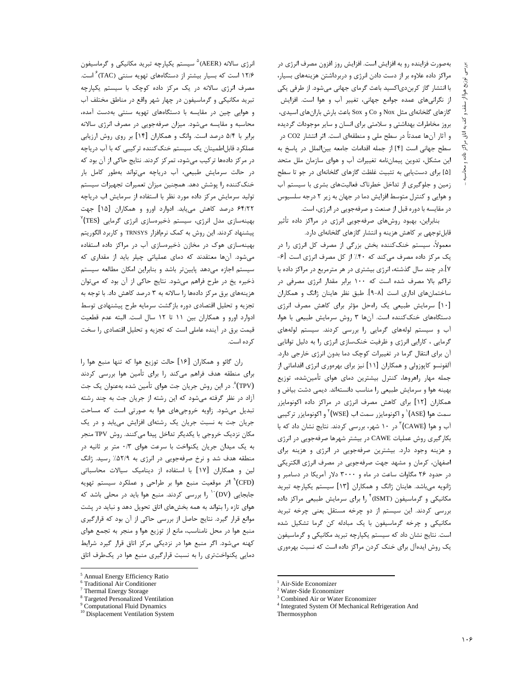بهصورت فزاینده رو به افزایش است. افزایش روز افزون مصرف انرژی در مراکز داده علاوه بر از دست دادن انرژی و دربرداشتن هزینههای بسیار، با انتشار گاز کربندی|کسید باعث گرمای جهانی میشود. از طرفی یکی از نگرانیهای عمده جوامع جهانی، تغییر آب و هوا است. افزایش گازهای گلخانهای مثل Nox و Co و Sox باعث بارش بارانهای اسیدی، بروز مخاطرات بهداشتی و سلامتی برای انسان و سایر موجودات گردیده و آثار آنها عمدتاً در سطح ملی و منطقهای است. اثر انتشار CO2 در سطح جهانی است [۴] از جمله اقدامات جامعه بین الملل در پاسخ به این مشکل، تدوین پیماننامه تغییرات آب و هوای سازمان ملل متحد [۵] برای دستیابی به تثبیت غلظت گازهای گلخانهای در جو تا سطح زمین و جلوگیری از تداخل خطرناک فعالیتهای بشری با سیستم آب و هوایی و کنترل متوسط افزایش دما در جهان به زیر ۲ درجه سلسیوس در مقايسه با دوره قبل از صنعت و صرفهجويي در انرژي، است.

بنابراین، بهبود روشهای صرفهجویی انرژی در مراکز داده تأثیر قابل توجهی بر کاهش هزینه و انتشار گازهای گلخانهای دارد. معمولاً، سیستم خنککننده بخش بزرگی از مصرف کل انرژی را در یک مرکز داده مصرف میکند که ۴۰٪ از کل مصرف انرژی است [۶-۷].در چند سال گذشته، انرژی بیشتری در هر مترمربع در مراکز داده با تراکم بالا مصرف شده است که ۱۰۰ برابر مقدار انرژی مصرفی در ساختمانهای اداری است [۸-۹]. طبق نظر هاینان ژانگ و همکاران [١٠] سرمايش طبيعي يک راهحل مؤثر براي كاهش مصرف انرژى دستگاههای خنککننده است. آنها ۳ روش سرمایش طبیعی با هوا، آب و سیستم لولههای گرمایی را بررسی کردند. سیستم لولههای گرمایی ، کارایی انرژی و ظرفیت خنکسازی انرژی را به دلیل توانایی آن برای انتقال گرما در تغییرات کوچک دما بدون انرژی خارجی دارد. آلفونسو کاپوزولی و همکاران [۱۱] نیز برای بهرهوری انرژی اقداماتی از جمله مهار راهروها، كنترل بيشترين دماي هواي تأمينشده، توزيع بهینه هوا و سرمایش طبیعی را مناسب دانستهاند. دیمی دشت بیاض و همکاران [۱۲] برای کاهش مصرف انرژی در مراکز داده اکونومایزر سمت هوا (ASE)` و اکونومایزر سمت اب (WSE)<sup>۲</sup> و اکونومایزر ترکیبی آب و هوا (CAWE) ٌ در ۱۰ شهر، بررسی کردند. نتایج نشان داد که با بکارگیری روش عملیات CAWE در بیشتر شهرها صرفهجویی در انرژی و هزینه وجود دارد. بیشترین صرفهجویی در انرژی و هزینه برای اصفهان، كرمان و مشهد جهت صرفهجويي در مصرف انرژى الكتريكي در حدود ۲۶ مگاوات ساعت در ماه و ۳۰۰۰ دلار آمریکا در دسامبر و ژانویه میباشد. هاینان ژانگ و همکاران [۱۳] سیستم یکپارچه تبرید مکانیکی و گرماسیفون (ISMT)<sup>۴</sup> را برای سرمایش طبیعی مراکز داده بررسی کردند. این سیستم از دو چرخه مستقل یعنی چرخه تبرید مکانیکی و چرخه گرماسیفون با یک مبادله کن گرما تشکیل شده است. نتایج نشان داد که سیستم یکپارچه تبرید مکانیکی و گرماسیفون یک روش ایدهآل برای خنک کردن مراکز داده است که نسبت بهرهوری

Air-Side Economizer

انرژی سالانه (AEER<sup>) ۵</sup> سیستم یکیارچه تبرید مکانیکی و گرماسیفون ۱۲/۶ است که بسیار بیشتر از دستگاههای تهویه سنتی (TAC) <sup>۶</sup> است. مصرف انرژی سالانه در یک مرکز داده کوچک با سیستم یکپارچه تبرید مکانیکی و گرماسیفون در چهار شهر واقع در مناطق مختلف آب و هوایی چین در مقایسه با دستگاههای تهویه سنتی بهدست آمده، محاسبه و مقایسه میشود. میزان صرفهجویی در مصرف انرژی سالانه برابر با ۵/۴ درصد است. وانگ و همکاران [۱۴] بر روی روش ارزیابی عملکرد قابلاطمینان یک سیستم خنک کننده ترکیبی که با آب دریاچه در مرکز دادهها ترکیب میشود، تمرکز کردند. نتایج حاکی از آن بود که در حالت سرمایش طبیعی، آب دریاچه میتواند بهطور کامل بار خنککننده را پوشش دهد. همچنین میزان تعمیرات تجهیزات سیستم تولید سرمایش مرکز داده مورد نظر با استفاده از سرمایش اب دریاچه ۶۴/۲۲ درصد کاهش می یابد. ادوارد اورو و همکاران [۱۵] جهت بهینهسازی مدل انرژی، سیستم ذخیرهسازی انرژی گرمایی (TES)<sup>۷</sup> پیشنهاد کردند. این روش به کمک نرمافزار TRNSYS و کاربرد الگوریتم بهینهسازی هوک در مخازن ذخیرهسازی آب در مراکز داده استفاده میشود. آنها معتقدند که دمای عملیاتی چیلر باید از مقداری که سیستم اجازه میدهد پایینتر باشد و بنابراین امکان مطالعه سیستم ذخیره یخ در طرح فراهم می شود. نتایج حاکی از آن بود که می توان هزینههای برق مرکز دادهها را سالانه به ۳ درصد کاهش داد. با توجه به تجزیه و تحلیل اقتصادی دوره بازگشت سرمایه طرح پیشنهادی توسط ادوارد اورو و همكاران بين ١١ تا ١٢ سال است. البته عدم قطعيت قیمت برق در آینده عاملی است که تجزیه و تحلیل اقتصادی را سخت ک ده است.

ران گائو و همکاران [۱۶] حالت توزیع هوا که تنها منبع هوا را برای منطقه هدف فراهم میکند را برای تأمین هوا بررسی کردند (TPV). در این روش جریان جت هوای تأمین شده بهعنوان یک جت آزاد در نظر گرفته میشود که این رشته از جریان جت به چند رشته تبدیل میشود. زاویه خروجیهای هوا به صورتی است که مساحت جریان جت به نسبت جریان یک رشتهای افزایش می یابد و در یک مکان نزدیک خروجی با یکدیگر تداخل پیدا میکنند. روش TPV منجر به یک میدان جریان یکنواخت با سرعت هوای ۰/۳ متر بر ثانیه در منطقه هدف شد و نرخ صرفهجویی در انرژی به ۵۲/۹٪ رسید. ژانگ لین و همکاران [۱۷] با استفاده از دینامیک سیالات محاسباتی (CFD)<sup>۹</sup> اثر موقعیت منبع هوا بر طراحی و عملکرد سیستم تهویه جابجایی (DV) `` را بررسی کردند. منبع هوا باید در محلی باشد که هوای تازه را بتواند به همه بخشهای اتاق تحویل دهد و نباید در پشت موانع قرار گیرد. نتایج حاصل از بررسی حاکی از آن بود که قرارگیری منبع هوا در محل نامناسب، مانع از توزیع هوا و منجر به تجمع هوای کهنه میشود. اگر منبع هوا در نزدیکی مرکز اتاق قرار گیرد شرایط دمایی یکنواختتری را به نسبت قرارگیری منبع هوا در یکطرف اتاق

<sup>&</sup>lt;sup>2</sup> Water-Side Economizer

<sup>&</sup>lt;sup>3</sup> Combined Air or Water Economizer

<sup>&</sup>lt;sup>4</sup> Integrated System Of Mechanical Refrigeration And

Thermosyphon

<sup>&</sup>lt;sup>5</sup> Annual Energy Efficiency Ratio

<sup>&</sup>lt;sup>6</sup> Traditional Air Conditioner

<sup>&</sup>lt;sup>7</sup> Thermal Energy Storage

<sup>&</sup>lt;sup>8</sup> Targeted Personalized Ventilation

<sup>&</sup>lt;sup>9</sup> Computational Fluid Dynamics

<sup>&</sup>lt;sup>10</sup> Displacement Ventilation System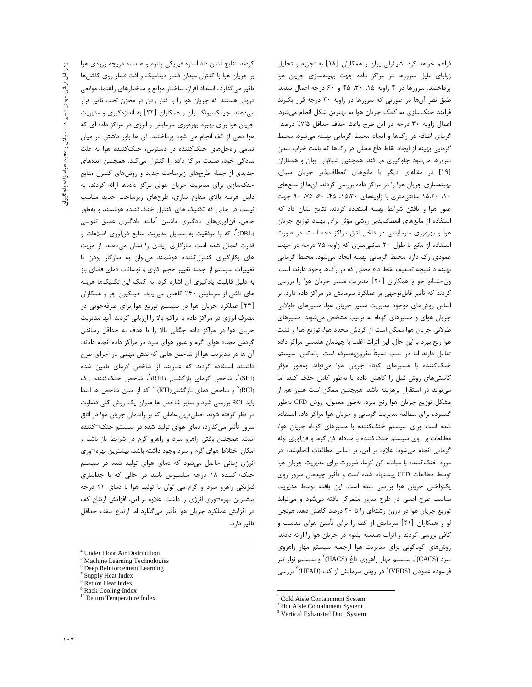کردند. نتایج نشان داد اندازه فیزیکی پلنوم و هندسه دریچه ورودی هوا بر جریان هوا با کنترل میدان فشار دینامیک و افت فشار روی کاشیها تأثیر می گذارد. انسداد افراز، ساختار موانع و ساختارهای راهنما، موانعی درونی هستند که جریان هوا را با کنار زدن در مخزن تحت تأثیر قرار میدهند. جیانکسیونگ وان و همکاران [۲۲] به اندازهگیری و مدیریت جریان هوا برای بهبود بهرهوری سرمایش و انرژی در مراکز داده ای که هوا دهی از کف انجام می شود پرداختند. آن ها باور داشتن در میان تمامی راه حل های خنک کننده در دسترس، خنک کننده هوا به علت سادگی خود، صنعت مراکز داده را کنترل می کند. همچنین ایدههای جدیدی از جمله طرحهای زیرساخت جدید و روشهای کنترل منابع خنکسازی برای مدیریت جریان هوای مرکز دادهها ارائه کردند. به دلیل هزینه بالای مقاوم سازی، طرحهای زیرساخت جدید مناسب نیست در حالی که تکنیک های کنترل خنککننده هوشمند و بهطور خاص، فن[وریهای یادگیری ماشین <sup>۵</sup>مانند یادگیری عمیق تقویتی (DRL)، كه با موفقيت به مسايل مديريت منابع فنآوري اطلاعات و قدرت اعمال شده است سازگاری زیادی را نشان می دهند. از مزیت های بکارگیری کنترل کننده هوشمند می توان به سازگار بودن با تغییرات سیستم از جمله تغییر حجم کاری و نوسانات دمای فضای باز به دلیل قابلیت یادگیری آن اشاره کرد. به کمک این تکنیکها هزینه های ناشی از سرمایش ۴۰٪ کاهش می یابد. جینکیون چو و همکاران [٢٣] عملکرد جریان هوا در سیستم توزیع هوا برای صرفهجویی در مصرف انرژی در مراکز داده با تراکم بالا را ارزیابی کردند. آنها مدیریت جریان هوا در مراکز داده چگالی بالا را با هدف به حداقل رساندن گردش مجدد هوای گرم و عبور هوای سرد در مراکز داده انجام دادند. آن ها در مدیریت هوا از شاخص هایی که نقش مهمی در اجرای طرح داشتند استفاده کردند که عبارتند از شاخص گرمای تامین شده (SHI)، شاخص گرمای بازگشتی (RHI)، شاخص خنککننده رک (RCI) و شاخص دمای بازگشتی(RTI) <sup>۱۰</sup> که از میان شاخص ها ابتدا باید RCI بررسی شود و سایر شاخص ها عنوان یک روش کلی قضاوت در نظر گرفته شوند. اصلیترین عاملی که بر راندمان جریان هوا در اتاق سرور تأثیر میگذارد، دمای هوای تولید شده در سیستم خنک¬کننده است. همچنین وقتی راهرو سرد و راهرو گرم در شرایط باز باشد و امکان اختلاط هوای گرم و سرد وجود داشته باشد، بیشترین بهره¬وری انرژی زمانی حاصل میشود که دمای هوای تولید شده در سیستم خنک¬کننده ۱۸ درجه سلسیوس باشد در حالی که با جداسازی فیزیکی راهرو سرد و گرم می توان با تولید هوا با دمای ۲۲ درجه بیشترین بهره¬وری انرژی را داشت. علاوه بر این، افزایش ارتفاع کف در افزایش عملکرد جریان هوا تأثیر میگذارد اما ارتفاع سقف حداقل تأثير دارد.

فراهم خواهد کرد. شیائولی یوان و همکاران [۱۸] به تجزیه و تحلیل زوایای مایل سرورها در مراکز داده جهت بهینهسازی جریان هوا پرداختند. سرورها در ۴ زاویه ۲۵، ۳۰، ۴۵ و ۶۰ درجه اعمال شدند. طبق نظر آنها در صورتی که سرورها در زاویه ۳۰ درجه قرار بگیرند فرایند خنکسازی به کمک جریان هوا به بهترین شکل انجام میشود. اعمال زاويه ٣٠ درجه در اين طرح باعث حذف حداقل ٧١/٥٪ درصد گرمای اضافه در رکها و ایجاد محیط گرمایی بهینه می شود. محیط گرمایی بهینه از ایجاد نقاط داغ محلی در رکها که باعث خراب شدن سرورها میشود جلوگیری میکند. همچنین شیائولی یوان و همکاران [١٩] در مقالهای دیگر با مانعهای انعطافپذیر جریان سیال، بهینهسازی جریان هوا را در مراکز داده بررسی کردند. آنها از مانعهای ١٠، ١٥،٢٠ سانتي مترى با زاويههاى ١۵،٣٠، ۴۵، ٩٠، ٧۵، ٩٠ جهت عبور هوا و یافتن شرایط بهینه استفاده کردند. نتایج نشان داد که استفاده از مانعهای انعطافپذیر روشی مؤثر برای بهبود توزیع جریان هوا و بهرهوری سرمایشی در داخل اتاق مراکز داده است. در صورت استفاده از مانع با طول ٢٠ سانتي مترى كه زاويه ٧٥ درجه در جهت عمودی رک دارد محیط گرمایی بهینه ایجاد میشود. محیط گرمایی بهينه درنتيجه تضعيف نقاط داغ محلي كه در ركها وجود دارند، است. ون-شیائو چو و همکاران [۲۰] مدیریت مسیر جریان هوا را بررسی کردند که تأثیر قابلتوجهی بر عملکرد سرمایش در مراکز داده دارد. بر اساس روشهای موجود مدیریت مسیر جریان هوا، مسیرهای طولانی جریان هوای و مسیرهای کوتاه به ترتیب مشخص می شوند. مسیرهای طولانی جریان هوا ممکن است از گردش مجدد هوا، توزیع هوا و نشت هوا رنج ببرد با این حال، این اثرات اغلب با چیدمان هندسی مراکز داده تعامل دارند اما در نصب نسبتاً مقرونبهصرفه است. بالعكس، سيستم خنککننده با مسیرهای کوتاه جریان هوا میتواند بهطور مؤثر کاستیهای روش قبل را کاهش داده یا بهطور کامل حذف کند، اما می تواند در استقرار پرهزینه باشد. هم چنین ممکن است هنوز هم از مشكل توزيع جريان هوا رنج ببرد. بهطور معمول، روش CFD بهطور گسترده برای مطالعه مدیریت گرمایی و جریان هوا مراکز داده استفاده شده است. برای سیستم خنککننده با مسیرهای کوتاه جریان هوا، مطالعات بر روی سیستم خنککننده با مبادله کن گرما و فنآوری لوله گرمایی انجام میشود. علاوه بر این، بر اساس مطالعات انجامشده در مورد خنک کننده با مبادله کن گرما، ضرورت برای مدیریت جریان هوا توسط مطالعات CFD پیشنهاد شده است و تأثیر چیدمان سرور روی یکنواختی جریان هوا بررسی شده است. این یافته توسط مدیریت مناسب طرح اصلی در طرح سرور متمرکز یافته میشود و میتواند توزیع جریان هوا در درون رشتهای را تا ۳۰ درصد کاهش دهد. هونجی لو و همکاران [۲۱] سرمایش از کف را برای تأمین هوای مناسب و كافي بررسي كردند و اثرات هندسه پلنوم در جريان هوا را ارائه دادند. روشهای گوناگونی برای مدیریت هوا ازجمله سیستم مهار راهروی سرد (CACS)`, سیستم مهار راهروی داغ (HACS)<sup>۲</sup> و سیستم نوار تیر

فرسوده عمودی (VEDS) ٌ در روش سرمایش از کف (UFAD) ٌ بررسی

 $^4$  Under Floor Air Distribution

<sup>&</sup>lt;sup>5</sup> Machine Learning Technologies

<sup>&</sup>lt;sup>6</sup> Deep Reinforcement Learning

 $7$  Supply Heat Index

<sup>&</sup>lt;sup>8</sup> Return Heat Index <sup>9</sup> Rack Cooling Index

<sup>&</sup>lt;sup>10</sup> Return Temperature Index

<sup>&</sup>lt;sup>1</sup> Cold Aisle Containment System

 $2$  Hot Aisle Containment System

<sup>&</sup>lt;sup>3</sup> Vertical Exhausted Duct System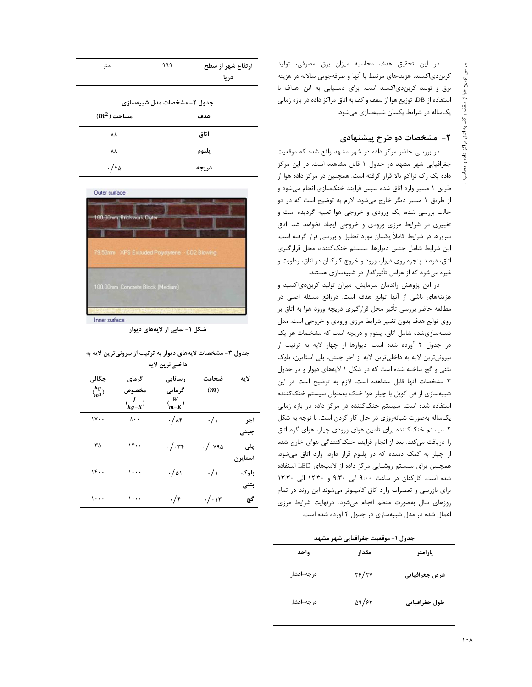در این تحقیق هدف محاسبه میزان برق مصرفی، تولید کربندی|کسید، هزینههای مرتبط با آنها و صرفهجویی سالانه در هزینه برق و تولید کربندی|کسید است. برای دستیابی به این اهداف با استفاده از DB، توزيع هوا از سقف و كف به اتاق مراكز داده در بازه زماني یکساله در شرایط یکسان شبیهسازی می شود.

# ۲- مشخصات دو طرح پیشنهادی

در بررسی حاضر مرکز داده در شهر مشهد واقع شده که موقعیت جغرافیایی شهر مشهد در جدول ۱ قابل مشاهده است. در این مرکز داده یک رک تراکم بالا قرار گرفته است. همچنین در مرکز داده هوا از طریق ۱ مسیر وارد اتاق شده سپس فرایند خنکسازی انجام میشود و از طریق ۱ مسیر دیگر خارج میشود. لازم به توضیح است که در دو حالت بررسی شده، یک ورودی و خروجی هوا تعبیه گردیده است و تغییری در شرایط مرزی ورودی و خروجی ایجاد نخواهد شد. اتاق سرورها در شرایط کاملاً یکسان مورد تحلیل و بررسی قرار گرفته است. این شرایط شامل جنس دیوارها، سیستم خنککننده، محل قرارگیری اتاق، درصد پنجره روی دیوار، ورود و خروج کارکنان در اتاق، رطوبت و غیره میشود که از عوامل تأثیرگذار در شبیهسازی هستند.

در این پژوهش راندمان سرمایش، میزان تولید کربن دی اکسید و هزینههای ناشی از آنها توابع هدف است. درواقع مسئله اصلی در مطالعه حاضر بررسي تأثير محل قرارگيري دريچه ورود هوا به اتاق بر روی توابع هدف بدون تغییر شرایط مرزی ورودی و خروجی است. مدل شبیهسازیشده شامل اتاق، پلنوم و دریچه است که مشخصات هر یک در جدول ۲ آورده شده است. دیوارها از چهار لایه به ترتیب از بیرونیترین لایه به داخلیترین لایه از اجر چینی، پلی استایرن، بلوک بتنی و گچ ساخته شده است که در شکل ۱ لایههای دیوار و در جدول ٣ مشخصات آنها قابل مشاهده است. لازم به توضيح است در اين شبیهسازی از فن کویل با چیلر هوا خنک بهعنوان سیستم خنککننده استفاده شده است. سیستم خنک کننده در مرکز داده در بازه زمانی یکساله بهصورت شبانهروزی در حال کار کردن است. با توجه به شکل ۲ سیستم خنککننده برای تأمین هوای ورودی چیلر، هوای گرم اتاق را دریافت میکند. بعد از انجام فرایند خنککنندگی هوای خارج شده از چیلر به کمک دمنده که در پلنوم قرار دارد، وارد اتاق می شود. همچنین برای سیستم روشنایی مرکز داده از لامپهای LED استفاده شده است. کارکنان در ساعت ۹:۰۰ الی ۹:۳۰ و ۱۲:۳۰ الی ۱۳:۳۰ برای بازرسی و تعمیرات وارد اتاق کامپیوتر میشوند این روند در تمام روزهای سال بهصورت منظم انجام می شود. درنهایت شرایط مرزی اعمال شده در مدل شبیهسازی در جدول ۴ آورده شده است.

| متر            | ۹۹۹                         | ارتفاع شهر از سطح<br>دريا |
|----------------|-----------------------------|---------------------------|
|                | جدول ۲- مشخصات مدل شبیهسازی |                           |
| $(m^2)$ مساحت  |                             | هدف                       |
| ٨٨             |                             | اتاق                      |
| ٨A             |                             | يلنوم                     |
| $\cdot/\tau$ ۵ |                             | دريچه                     |



شکل ۱- نمایی از لایههای دیوار

|  |  | جدول ۳- مشخصات لایههای دیوار به ترتیب از بیرونیترین لایه به |  |
|--|--|-------------------------------------------------------------|--|
|  |  |                                                             |  |

| داخلي ترين لايه               |                       |                      |                     |         |
|-------------------------------|-----------------------|----------------------|---------------------|---------|
| چگالی                         | گرمای                 | رسانایی              | ضخامت               | لاىە    |
| $\left(\frac{kg}{m^3}\right)$ | مخصوص                 | گرمایی               | (m)                 |         |
|                               | $\frac{f}{kg-K}$      | $\frac{W}{(m-K)}$    |                     |         |
| $\mathcal{W} \cdot \cdot$     | $\lambda \cdot \cdot$ | $\cdot/\lambda$ ۴    | $\cdot / \wedge$    | اجر     |
|                               |                       |                      |                     | چينې    |
| ٣۵                            | ۱۴۰۰                  | $\cdot/\cdot$ ۳۴     | $\cdot/\cdot$ y 9 s | پلی     |
|                               |                       |                      |                     | استايرن |
| $1$ ۴                         | ۱۰۰۰                  | $\cdot/\vartriangle$ | $\cdot / \sqrt{2}$  | بلوک    |
|                               |                       |                      |                     | بتنى    |
| ۱۰۰۰                          | ۱۰۰۰                  | $\cdot/\mathfrak{r}$ | $\cdot/\cdot$ ١٣    | گچ      |

| جدول ١- موقعیت جغرافیایی شهر مشهد |               |               |  |
|-----------------------------------|---------------|---------------|--|
| واحد                              | مقدار         | پارامتر       |  |
| درجه-اعشار                        | ۳۶/۲۷         | عرض جغرافيايى |  |
| درجه-اعشار                        | $\Delta$ 9/۶۳ | طول جغرافيايي |  |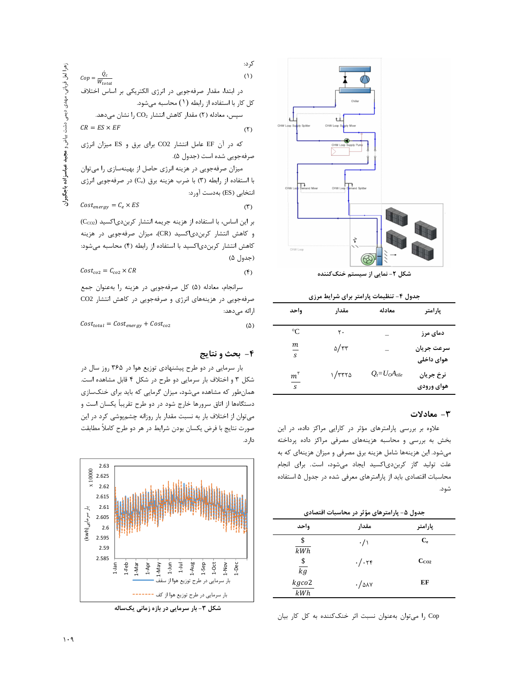

شکل ۲- نمایی از سیستم خنک *ک*ننده

جدول ۴- تنظیمات پارامتر برای شرایط مرزی

| واحد                      | مقدار             | معادله               | يارامتر                  |
|---------------------------|-------------------|----------------------|--------------------------|
| $\rm ^{\circ}C$           | ٢٠                |                      | دمای مرز                 |
| m<br>$\mathcal{S}$        | $\Delta/\tau\tau$ |                      | سرعت جريان<br>هوای داخلی |
| $m^{r}$<br>$\overline{s}$ | ۱/۳۳۲۵            | $Q_i = U_O A_{tile}$ | نرخ جريان<br>هوای ورودی  |

#### ۳- معادلات

علاوه بر بررسی پارامترهای مؤثر در کارایی مراکز داده، در این بخش به بررسی و محاسبه هزینههای مصرفی مراکز داده پرداخته میشود. این هزینهها شامل هزینه برق مصرفی و میزان هزینهای که به علت تولید گاز کربندی|کسید ایجاد میشود، است. برای انجام محاسبات اقتصادی باید از پارامترهای معرفی شده در جدول ۵ استفاده شود.

جدول ۵- پارامترهای مؤثر در محاسبات اقتصادی

| واحد            | مقدار                 | پارامتر   |
|-----------------|-----------------------|-----------|
| \$<br>kWh       | $\cdot/\wedge$        | $C_{e}$   |
| $\frac{\$}{kg}$ | $\cdot/\cdot$ ۲۴      | $C_{CO2}$ |
| kgco2<br>kWh    | $\cdot$ / $\Delta$ AY | EF        |

Cop را میتوان بهعنوان نسبت اثر خنککننده به کل کار بیان

\n
$$
Cop = \frac{\dot{Q}_c}{W_{total}}
$$
\n

\n\n c. [بتد، مقدار صرفجويی در انرژی الکتریکی بر اساس اختلاف در ابتد، مقدار صرفجويی در انرژی الکتریکی بر اساس اختلاف کل کار با استفاده از رابطه (1) مخالابش میدهد.  
\n

\n\n CR = ES × EF\n

\n\n (7) مغدار کاهش انتشار CO2 برای برق و ES میزان انرژی که در آن EF عامل انتشار CO2 برای برق و و

صرفهجويي شده است (جدول ۵). میزان صرفهجویی در هزینه انرژی حاصل از بهینهسازی را میتوان با استفاده از رابطه (٣) با ضرب هزينه برق (Ce) در صرفهجويي انرژى

انتخابی (ES) بهدست آورد:

$$
Cost_{energy} = C_e \times ES
$$
 (7)

بر این اساس، با استفاده از هزینه جریمه انتشار کربن دی اکسید (Cco2) و کاهش انتشار کربن دی اکسید (CR)، میزان صرفه جویی در هزینه كاهش انتشار كربن دى اكسيد با استفاده از رابطه (۴) محاسبه مى شود: (جدول ۵)

$$
Cost_{co2} = C_{co2} \times CR
$$
 (f)

سرانجام، معادله (۵) كل صرفهجويي در هزينه را بهعنوان جمع صرفه جویی در هزینههای انرژی و صرفه جویی در کاهش انتشار CO2 ارائه مے دهد:

 $Cost_{total} = Cost_{energy} + Cost_{co2}$  $(\Delta)$ 

## ۴- بحث و نتایج

بار سرمایی در دو طرح پیشنهادی توزیع هوا در ۳۶۵ روز سال در شکل ۳ و اختلاف بار سرمایی دو طرح در شکل ۴ قابل مشاهده است. همان طور که مشاهده میشود، میزان گرمایی که باید برای خنکسازی دستگاهها از اتاق سرورها خارج شود در دو طرح تقریباً یکسان است و می توان از اختلاف بار به نسبت مقدار بار روزانه چشمپوشی کرد در این صورت نتايج با فرض يكسان بودن شرايط در هر دو طرح كاملاً مطابقت دار د.



شکل ۳- بار سرمایی در بازه زمانی یکساله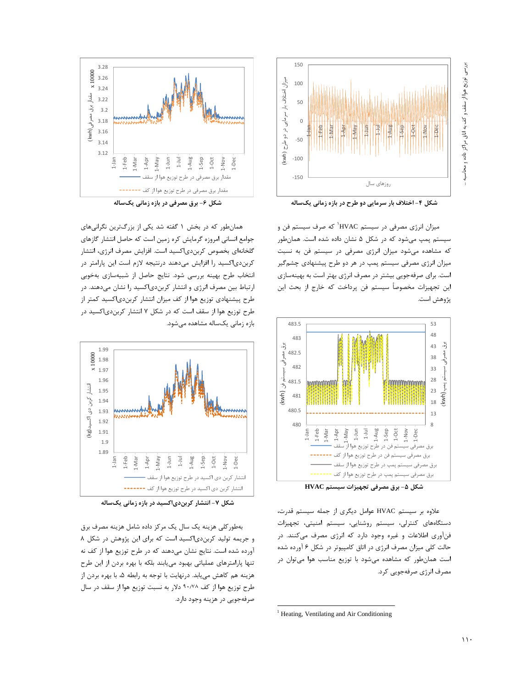

شکل ۴- اختلاف بار سرمایی دو طرح در بازه زمانی یکساله

同中

روزهای سال

 $1 - \frac{1}{2}$ 

-das-T  $1-0$ ct

**HAUP** 

1-Nov

 $1-Apr$ 

**1-Mar** 

 $1 - Feb$ 

1-May

150

100

 $50$ 

 $\mathsf{O}\xspace$ 

 $-50$ 

 $-100$ 

 $-150$ 

میزان اختلاف بار سرمایی در دو طرح (kwh)

میزان انرژی مصرفی در سیستم HVAC که صرف سیستم فن و سیستم پمپ میشود که در شکل ۵ نشان داده شده است. همانطور که مشاهده میشود میزان انرژی مصرفی در سیستم فن به نسبت میزان انرژی مصرفی سیستم پمپ در هر دو طرح پیشنهادی چشمگیر است. برای صرفهجویی بیشتر در مصرف انرژی بهتر است به بهینهسازی این تجهیزات مخصوصاً سیستم فن پرداخت که خارج از بحث این پژوهش است.



شکل ۵- برق مصرفی تجهیزات سیستم HVAC

علاوه بر سیستم HVAC عوامل دیگری از جمله سیستم قدرت، دستگاههای کنترلی، سیستم روشنایی، سیستم امنیتی، تجهیزات فنآوری اطلاعات و غیره وجود دارد که انرژی مصرف می کنند. در حالت کلی میزان مصرف انرژی در اتاق کامپیوتر در شکل ۶ آورده شده است همانطور که مشاهده میشود با توزیع مناسب هوا میتوان در مصرف انرژی صرفهجویی کرد.



شکل ۶- برق مصرفی در بازه زمانی یکساله

همان طور که در بخش ۱ گفته شد یکی از بزرگترین نگرانیهای جوامع انسانی امروزه گرمایش کره زمین است که حاصل انتشار گازهای گلخانهای بخصوص کربندی|کسید است. افزایش مصرف انرژی، انتشار کربندی|کسید را افزایش میدهند درنتیجه لازم است این پارامتر در انتخاب طرح بهينه بررسي شود. نتايج حاصل از شبيهسازي بهخوبي ارتباط بین مصرف انرژی و انتشار کربندیاکسید را نشان میدهند. در طرح پیشنهادی توزیع هوا از کف میزان انتشار کربندی|کسید کمتر از طرح توزیع هوا از سقف است که در شکل ۷ انتشار کربندی|کسید در بازه زمانی یکساله مشاهده می شود.



شکل ۷- انتشار کربندیاکسید در بازه زمانی یکساله

بهطور کلی هزینه یک سال یک مرکز داده شامل هزینه مصرف برق و جریمه تولید کربن دی اکسید است که برای این پژوهش در شکل ۸ آورده شده است. نتایج نشان میدهند که در طرح توزیع هوا از کف نه تنها پارامترهای عملیاتی بهبود می،یابند بلکه با بهره بردن از این طرح هزینه هم کاهش می یابد. درنهایت با توجه به رابطه ۵، با بهره بردن از طرح توزيع هوا از كف ٩٠/٧٨ دلار به نسبت توزيع هوا از سقف در سال صرفهجويي در هزينه وجود دارد.

<sup>&</sup>lt;sup>1</sup> Heating, Ventilating and Air Conditioning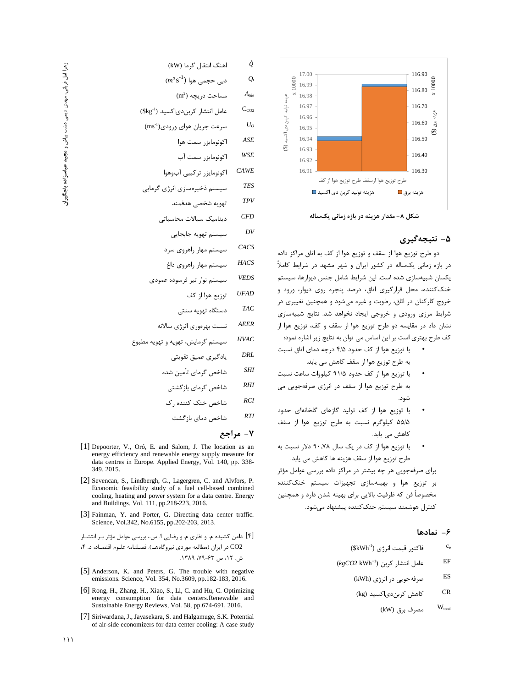

شکل ۸- مقدار هزینه در بازه زمانی یکساله

## ۵- نتيجەگيرى

دو طرح توزیع هوا از سقف و توزیع هوا از کف به اتاق مراکز داده در بازه زمانی یکساله در کشور ایران و شهر مشهد در شرایط کاملاً یکسان شبیهسازی شده است. این شرایط شامل جنس دیوارها، سیستم خنک کننده، محل قرارگیری اتاق، درصد پنجره روی دیوار، ورود و خروج کارکنان در اتاق، رطوبت و غیره میشود و همچنین تغییری در شرایط مرزی ورودی و خروجی ایجاد نخواهد شد. نتایج شبیهسازی نشان داد در مقایسه دو طرح توزیع هوا از سقف و کف، توزیع هوا از كف طرح بهتري است بر اين اساس مي توان به نتايج زير اشاره نمود:

- با توزیع هوا از کف حدود ۴/۵ درجه دمای اتاق نسبت به طرح توزیع هوا از سقف کاهش می یابد.
- با توزيع هوا از كف حدود ۹۱/۵ كيلووات ساعت نسبت به طرح توزیع هوا از سقف در انرژی صرفهجویی می شود.
- با توزیع هوا از کف تولید گازهای گلخانهای حدود  $\bullet$ ۵۵/۵ کیلوگرم نسبت به طرح توزیع هوا از سقف کاهش می یابد.
- با توزیع هوا از کف در یک سال ۹۰٫۷۸ دلار نسبت به  $\bullet$ طرح توزيع هوا از سقف هزينه ها كاهش مي يابد.

برای صرفهجویی هر چه بیشتر در مراکز داده بررسی عوامل مؤثر بر توزیع هوا و بهینهسازی تجهیزات سیستم خنککننده مخصوصاً فن كه ظرفيت بالايي براي بهينه شدن دارد و همچنين کنترل هوشمند سیستم خنککننده پیشنهاد می شود.

## ۶– نمادها

- فاكتور قيمت انرژى ("\$kWh)  $\rm c_e$
- $(kgCO2 \text{ kWh}^{-1})$  عامل انتشار کربن EF
	- ES صرفهجویی در انرژی (kWh)
	- $CR$ کاهش کربندیاکسید (kg)
		- $W_{total}$ مصرف برق (kW)
- اهنگ انتقال گرما (kW) Q  $(m^3s^{-1})$  دہے حجمے هوا  $Q_i$  $A_{tile}$  $(m^2)$  مساحت دريچه عامل انتشار کربن دی اکسید (Skg-1)  $C<sub>CO2</sub>$ سرعت جريان هواي ورودي(ms<sup>-1</sup>)  $U_o$  $ASE$ اكونومايز, سمت هوا WSE اکونومایزر سمت آب  $CAWE$ اكونومايزر تركيبي آبوهوا **TES** سیستم ذخیرهسازی انرژی گرمایی **TPV** تهويه شخصى هدفمند
	- **CFD** دینامیک سیالات محاسباتی

سيستم تهويه جابجايي

CACS سیستم مهار راهروی سرد

 $DV$ 

- $HACS$ سيستم مهار راهروى داغ
- **VEDS** سيستم نوار تير فرسوده عمودى
	- **UFAD** توزيع هوا از كف
	- $T\!A C$ دستگاه تهویه سنتی
- AEER نسبت بهرءوري انرژي سالانه
- **HVAC** سیستم گرمایش، تهویه و تهویه مطبوع
	- DRL یادگیری عمیق تقویتی
	- شاخص گرمای تأمین شده **SHI** 
		- $RHI$ شاخص گرمای بازگشتی
	- $RCI$ شاخص خنک کننده , ک
		- $RTI$ شاخص دمای باز گشت

## ٧- مراجع

- [1] Depoorter, V., Oró, E. and Salom, J. The location as an energy efficiency and renewable energy supply measure for data centres in Europe. Applied Energy, Vol. 140, pp. 338-349, 2015.
- [2] Sevencan, S., Lindbergh, G., Lagergren, C. and Alvfors, P. Economic feasibility study of a fuel cell-based combined cooling, heating and power system for a data centre. Energy and Buildings, Vol. 111, pp.218-223, 2016.
- [3] Fainman, Y. and Porter, G. Directing data center traffic. Science, Vol.342, No.6155, pp.202-203, 2013.

[۴] دامن کشیده م. و نظری م. و رضایی ا. س.، بررسی عوامل مؤثر بـر انتشـار CO2 در ایران (مطالعه موردی نیروگاههـا). فصـلنامه علـوم اقتصـاد، د. ۴، ش. ١٢، ص ۶۳-٧٩، ١٣٨٩.

- [5] Anderson, K. and Peters, G. The trouble with negative emissions. Science, Vol. 354, No.3609, pp.182-183, 2016.
- [6] Rong, H., Zhang, H., Xiao, S., Li, C. and Hu, C. Optimizing energy consumption for data centers.Renewable and Sustainable Energy Reviews, Vol. 58, pp.674-691, 2016.
- [7] Siriwardana, J., Jayasekara, S. and Halgamuge, S.K. Potential of air-side economizers for data center cooling: A case study